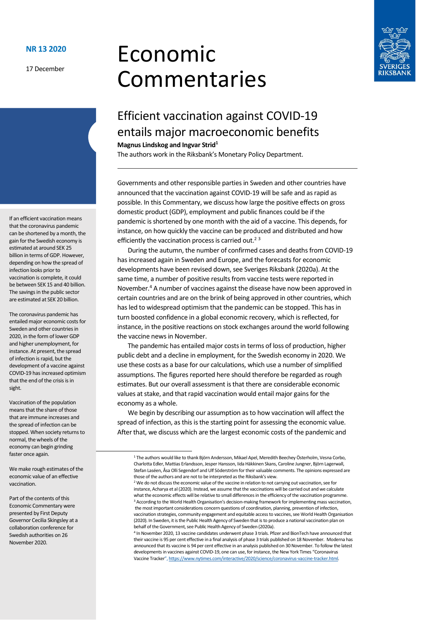17 December

# Economic Commentaries



# Efficient vaccination against COVID-19 entails major macroeconomic benefits

**Magnus Lindskog and Ingvar Strid<sup>1</sup>**

The authors work in the Riksbank's Monetary Policy Department.

Governments and other responsible parties in Sweden and other countries have announced that the vaccination against COVID-19 will be safe and as rapid as possible. In this Commentary, we discuss how large the positive effects on gross domestic product (GDP), employment and public finances could be if the pandemic is shortened by one month with the aid of a vaccine. This depends, for instance, on how quickly the vaccine can be produced and distributed and how efficiently the vaccination process is carried out.<sup>23</sup>

During the autumn, the number of confirmed cases and deaths from COVID-19 has increased again in Sweden and Europe, and the forecasts for economic developments have been revised down, see Sveriges Riksbank (2020a). At the same time, a number of positive results from vaccine tests were reported in November.<sup>4</sup> A number of vaccines against the disease have now been approved in certain countries and are on the brink of being approved in other countries, which has led to widespread optimism that the pandemic can be stopped. This has in turn boosted confidence in a global economic recovery, which is reflected, for instance, in the positive reactions on stock exchanges around the world following the vaccine news in November.

The pandemic has entailed major costs in terms of loss of production, higher public debt and a decline in employment, for the Swedish economy in 2020. We use these costs as a base for our calculations, which use a number of simplified assumptions. The figures reported here should therefore be regarded as rough estimates. But our overall assessment is that there are considerable economic values at stake, and that rapid vaccination would entail major gains for the economy as a whole.

We begin by describing our assumption as to how vaccination will affect the spread of infection, as this is the starting point for assessing the economic value. After that, we discuss which are the largest economic costs of the pandemic and

If an efficient vaccination means that the coronavirus pandemic can be shortened by a month, the gain for the Swedish economy is estimated at around SEK 25 billion in terms of GDP. However, depending on how the spread of infection looks prior to vaccination is complete, it could be between SEK 15 and 40 billion. The savings in the public sector are estimated at SEK 20 billion.

The coronavirus pandemic has entailed major economic costs for Sweden and other countries in 2020, in the form of lower GDP and higher unemployment, for instance. At present, the spread of infection is rapid, but the development of a vaccine against COVID-19 has increased optimism that the end of the crisis is in sight.

Vaccination of the population means that the share of those that are immune increases and the spread of infection can be stopped. When society returns to normal, the wheels of the economy can begin grinding faster once again.

We make rough estimates of the economic value of an effective vaccination.

Part of the contents of this Economic Commentary were presented by First Deputy Governor Cecilia Skingsley at a collaboration conference for Swedish authorities on 26 November 2020.

<sup>1</sup> The authors would like to thank Björn Andersson, Mikael Apel, Meredith Beechey Österholm, Vesna Corbo, Charlotta Edler, Mattias Erlandsson, Jesper Hansson, Iida Häkkinen Skans, Caroline Jungner, Björn Lagerwall, Stefan Laséen, Åsa Olli Segendorf and Ulf Söderström for their valuable comments. The opinions expressed are those of the authors and are not to be interpreted as the Riksbank's view.

<sup>&</sup>lt;sup>2</sup> We do not discuss the economic value of the vaccine in relation to not carrying out vaccination, see for instance, Acharya et al (2020). Instead, we assume that the vaccinations will be carried out and we calculate what the economic effects will be relative to small differences in the efficiency of the vaccination programme. <sup>3</sup> According to the World Health Organisation's decision-making framework for implementing mass vaccination, the most important considerations concern questions of coordination, planning, prevention of infection, vaccination strategies, community engagement and equitable access to vaccines, see World Health Organisation (2020). In Sweden, it is the Public Health Agency of Sweden that is to produce a national vaccination plan on behalf of the Government, see Public Health Agency of Sweden (2020a).

<sup>4</sup> In November 2020, 13 vaccine candidates underwent phase 3 trials. Pfizer and BionTech have announced that their vaccine is 95 per cent effective in a final analysis of phase 3 trials published on 18 November. Moderna has announced that its vaccine is 94 per cent effective in an analysis published on 30 November. To follow the latest developments in vaccines against COVID-19, one can use, for instance, the New York Times "Coronavirus Vaccine Tracker", [https://www.nytimes.com/interactive/2020/science/coronavirus-vaccine-tracker.html.](https://www.nytimes.com/interactive/2020/science/coronavirus-vaccine-tracker.html)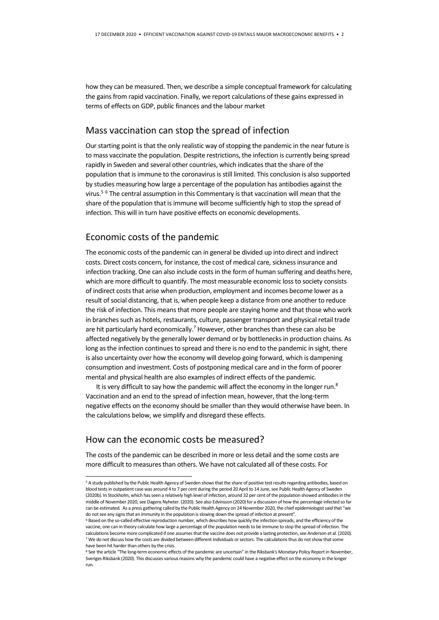how they can be measured. Then, we describe a simple conceptual framework for calculating the gains from rapid vaccination. Finally, we report calculations of these gains expressed in terms of effects on GDP, public finances and the labour market

#### Mass vaccination can stop the spread of infection

Our starting point is that the only realistic way of stopping the pandemic in the near future is to mass vaccinate the population. Despite restrictions, the infection is currently being spread rapidly in Sweden and several other countries, which indicates that the share of the population that is immune to the coronavirus is still limited. This conclusion is also supported by studies measuring how large a percentage of the population has antibodies against the virus.<sup>5</sup> <sup>6</sup> The central assumption in this Commentary is that vaccination will mean that the share of the population that is immune will become sufficiently high to stop the spread of infection. This will in turn have positive effects on economic developments.

## Economic costs of the pandemic

The economic costs of the pandemic can in general be divided up into direct and indirect costs. Direct costs concern, for instance, the cost of medical care, sickness insurance and infection tracking. One can also include costs in the form of human suffering and deaths here, which are more difficult to quantify. The most measurable economic loss to society consists of indirect costs that arise when production, employment and incomes become lower as a result of social distancing, that is, when people keep a distance from one another to reduce the risk of infection. This means that more people are staying home and that those who work in branches such as hotels, restaurants, culture, passenger transport and physical retail trade are hit particularly hard economically.<sup>7</sup> However, other branches than these can also be affected negatively by the generally lower demand or by bottlenecks in production chains. As long as the infection continues to spread and there is no end to the pandemic in sight, there is also uncertainty over how the economy will develop going forward, which is dampening consumption and investment. Costs of postponing medical care and in the form of poorer mental and physical health are also examples of indirect effects of the pandemic.

It is very difficult to say how the pandemic will affect the economy in the longer run.<sup>8</sup> Vaccination and an end to the spread of infection mean, however, that the long-term negative effects on the economy should be smaller than they would otherwise have been. In the calculations below, we simplify and disregard these effects.

## How can the economic costs be measured?

**-**

The costs of the pandemic can be described in more or less detail and the some costs are more difficult to measures than others. We have not calculated all of these costs. For

<sup>5</sup> A study published by the Public Health Agency of Sweden shows that the share of positive test results regarding antibodies, based on blood tests in outpatient case was around 4 to 7 per cent during the period 20 April to 14 June, see Public Health Agency of Sweden (2020b). In Stockholm, which has seen a relatively high level of infection, around 32 per cent of the population showed antibodies in the middle of November 2020, see Dagens Nyheter. (2020). See also Edvinsson (2020) for a discussion of how the percentage infected so far can be estimated. As a press gathering called by the Public Health Agency on 24 November 2020, the chief epidemiologist said that "we do not see any signs that an immunity in the population is slowing down the spread of infection at present".

<sup>6</sup> Based on the so-called effective reproduction number, which describes how quickly the infection spreads, and the efficiency of the vaccine, one can in theory calculate how large a percentage of the population needs to be immune to stop the spread of infection. The calculations become more complicated if one assumes that the vaccine does not provide a lasting protection, see Anderson et al. (2020). <sup>7</sup> We do not discuss how the costs are divided between different individuals or sectors. The calculations thus do not show that some have been hit harder than others by the crisis.

<sup>8</sup> See the article "The long-term economic effects of the pandemic are uncertain" in the Riksbank's Monetary Policy Report in November, Sveriges Riksbank (2020). This discusses various reasons why the pandemic could have a negative effect on the economy in the longer run.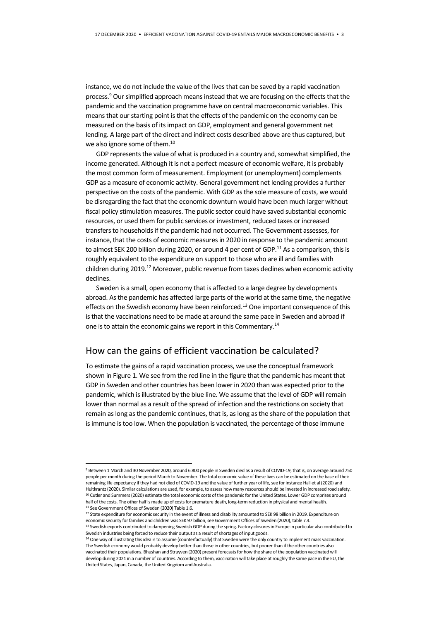instance, we do not include the value of the lives that can be saved by a rapid vaccination process.<sup>9</sup> Our simplified approach means instead that we are focusing on the effects that the pandemic and the vaccination programme have on central macroeconomic variables. This means that our starting point is that the effects of the pandemic on the economy can be measured on the basis of its impact on GDP, employment and general government net lending. A large part of the direct and indirect costs described above are thus captured, but we also ignore some of them.<sup>10</sup>

GDP represents the value of what is produced in a country and, somewhat simplified, the income generated. Although it is not a perfect measure of economic welfare, it is probably the most common form of measurement. Employment (or unemployment) complements GDP as a measure of economic activity. General government net lending provides a further perspective on the costs of the pandemic. With GDP as the sole measure of costs, we would be disregarding the fact that the economic downturn would have been much larger without fiscal policy stimulation measures. The public sector could have saved substantial economic resources, or used them for public services or investment, reduced taxes or increased transfers to households if the pandemic had not occurred. The Government assesses, for instance, that the costs of economic measuresin 2020 in response to the pandemic amount to almost SEK 200 billion during 2020, or around 4 per cent of GDP.<sup>11</sup> As a comparison, this is roughly equivalent to the expenditure on support to those who are ill and families with children during 2019.<sup>12</sup> Moreover, public revenue from taxes declines when economic activity declines.

Sweden is a small, open economy that is affected to a large degree by developments abroad. As the pandemic has affected large parts of the world at the same time, the negative effects on the Swedish economy have been reinforced.<sup>13</sup> One important consequence of this is that the vaccinations need to be made at around the same pace in Sweden and abroad if one is to attain the economic gains we report in this Commentary.<sup>14</sup>

## How can the gains of efficient vaccination be calculated?

To estimate the gains of a rapid vaccination process, we use the conceptual framework shown in Figure 1. We see from the red line in the figure that the pandemic has meant that GDP in Sweden and other countries has been lower in 2020 than was expected prior to the pandemic, which is illustrated by the blue line. We assume that the level of GDP will remain lower than normal as a result of the spread of infection and the restrictions on society that remain as long as the pandemic continues, that is, as long as the share of the population that is immune is too low. When the population is vaccinated, the percentage of those immune

**-**

<sup>9</sup> Between 1 March and 30 November 2020, around 6 800 people in Sweden died as a result of COVID-19, that is, on average around 750 people per month during the period March to November. The total economic value of these lives can be estimated on the base of their remaining life expectancy if they had not died of COVID-19 and the value of further year of life, see for instance Hall et al (2020) and Hultkrantz (2020). Similar calculations are used, for example, to assess how many resources should be invested in increased road safety. 10 Cutler and Summers (2020) estimate the total economic costs of the pandemic for the United States. Lower GDP comprises around half of the costs. The other half is made up of costs for premature death, long-term reduction in physical and mental health. <sup>11</sup> See Government Offices of Sweden (2020) Table 1.6

<sup>&</sup>lt;sup>12</sup> State expenditure for economic security in the event of illness and disability amounted to SEK 98 billion in 2019. Expenditure on economic security for families and children was SEK 97 billion, see Government Offices of Sweden (2020), table 7.4.

<sup>13</sup> Swedish exports contributed to dampening Swedish GDP during the spring. Factory closures in Europe in particular also contributed to Swedish industries being forced to reduce their output as a result of shortages of input goods.

<sup>&</sup>lt;sup>14</sup> One way of illustrating this idea is to assume (counterfactually) that Sweden were the only country to implement mass vaccination. The Swedish economy would probably develop better than those in other countries, but poorer than if the other countries also vaccinated their populations. Bhushan and Struyven (2020) present forecasts for how the share of the population vaccinated will develop during 2021 in a number of countries. According to them, vaccination will take place at roughly the same pace in the EU, the United States, Japan, Canada, the United Kingdom and Australia.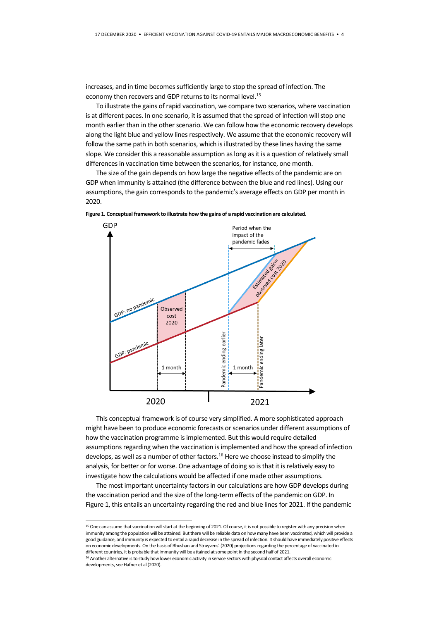increases, and in time becomes sufficiently large to stop the spread of infection. The economy then recovers and GDP returns to its normal level.<sup>15</sup>

To illustrate the gains of rapid vaccination, we compare two scenarios, where vaccination is at different paces. In one scenario, it is assumed that the spread of infection will stop one month earlier than in the other scenario. We can follow how the economic recovery develops along the light blue and yellow lines respectively. We assume that the economic recovery will follow the same path in both scenarios, which is illustrated by these lines having the same slope. We consider this a reasonable assumption as long as it is a question of relatively small differences in vaccination time between the scenarios, for instance, one month.

The size of the gain depends on how large the negative effects of the pandemic are on GDP when immunity is attained (the difference between the blue and red lines). Using our assumptions, the gain corresponds to the pandemic's average effects on GDP per month in 2020.



**Figure 1. Conceptual framework to illustrate how the gains of a rapid vaccination are calculated.**

This conceptual framework is of course very simplified. A more sophisticated approach might have been to produce economic forecasts or scenarios under different assumptions of how the vaccination programme is implemented. But this would require detailed assumptions regarding when the vaccination is implemented and how the spread of infection develops, as well as a number of other factors.<sup>16</sup> Here we choose instead to simplify the analysis, for better or for worse. One advantage of doing so is that it is relatively easy to investigate how the calculations would be affected if one made other assumptions.

The most important uncertainty factors in our calculations are how GDP develops during the vaccination period and the size of the long-term effects of the pandemic on GDP. In Figure 1, this entails an uncertainty regarding the red and blue lines for 2021. If the pandemic

**-**

<sup>&</sup>lt;sup>15</sup> One can assume that vaccination will start at the beginning of 2021. Of course, it is not possible to register with any precision when immunity among the population will be attained. But there will be reliable data on how many have been vaccinated, which will provide a good guidance, and immunity is expected to entail a rapid decrease in the spread of infection. It should have immediately positive effects on economic developments. On the basis of Bhushan and Struyvens' (2020) projections regarding the percentage of vaccinated in different countries, it is probable that immunity will be attained at some point in the second half of 2021.

<sup>&</sup>lt;sup>16</sup> Another alternative is to study how lower economic activity in service sectors with physical contact affects overall economic developments, see Hafner et al (2020).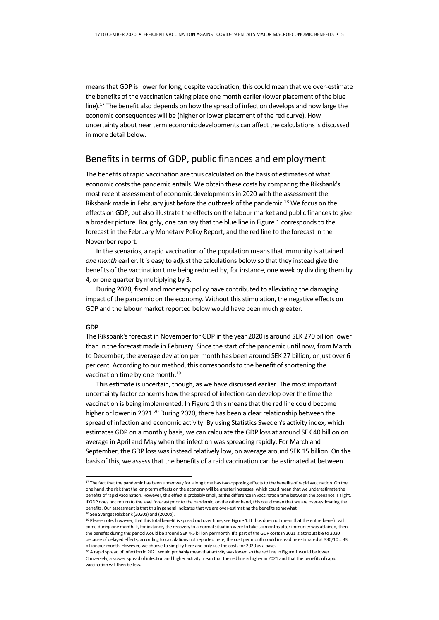means that GDP is lower for long, despite vaccination, this could mean that we over-estimate the benefits of the vaccination taking place one month earlier (lower placement of the blue line).<sup>17</sup> The benefit also depends on how the spread of infection develops and how large the economic consequences will be (higher or lower placement of the red curve). How uncertainty about near term economic developments can affect the calculations is discussed in more detail below.

#### Benefits in terms of GDP, public finances and employment

The benefits of rapid vaccination are thus calculated on the basis of estimates of what economic costs the pandemic entails. We obtain these costs by comparing the Riksbank's most recent assessment of economic developments in 2020 with the assessment the Riksbank made in February just before the outbreak of the pandemic.<sup>18</sup> We focus on the effects on GDP, but also illustrate the effects on the labour market and public finances to give a broader picture. Roughly, one can say that the blue line in Figure 1 corresponds to the forecast in the February Monetary Policy Report, and the red line to the forecast in the November report.

In the scenarios, a rapid vaccination of the population means that immunity is attained *one month* earlier. It is easy to adjust the calculations below so that they instead give the benefits of the vaccination time being reduced by, for instance, one week by dividing them by 4, or one quarter by multiplying by 3.

During 2020, fiscal and monetary policy have contributed to alleviating the damaging impact of the pandemic on the economy. Without this stimulation, the negative effects on GDP and the labour market reported below would have been much greater.

#### **GDP**

**-**

The Riksbank's forecast in November for GDP in the year 2020 is around SEK 270 billion lower than in the forecast made in February. Since the start of the pandemic until now, from March to December, the average deviation per month has been around SEK 27 billion, or just over 6 per cent. According to our method, this corresponds to the benefit of shortening the vaccination time by one month.<sup>19</sup>

This estimate is uncertain, though, as we have discussed earlier. The most important uncertainty factor concerns how the spread of infection can develop over the time the vaccination is being implemented. In Figure 1 this means that the red line could become higher or lower in 2021.<sup>20</sup> During 2020, there has been a clear relationship between the spread of infection and economic activity. By using Statistics Sweden's activity index, which estimates GDP on a monthly basis, we can calculate the GDP loss at around SEK 40 billion on average in April and May when the infection was spreading rapidly. For March and September, the GDP loss was instead relatively low, on average around SEK 15 billion. On the basis of this, we assess that the benefits of a raid vaccination can be estimated at between

<sup>&</sup>lt;sup>17</sup> The fact that the pandemic has been under way for a long time has two opposing effects to the benefits of rapid vaccination. On the one hand, the risk that the long-term effects on the economy will be greater increases, which could mean that we underestimate the benefits of rapid vaccination. However, this effect is probably small, as the difference in vaccination time between the scenarios is slight. If GDP does not return to the level forecast prior to the pandemic, on the other hand, this could mean that we are over-estimating the benefits. Our assessment is that this in general indicates that we are over-estimating the benefits somewhat. <sup>18</sup> See Sveriges Riksbank (2020a) and (2020b).

<sup>&</sup>lt;sup>19</sup> Please note, however, that this total benefit is spread out over time, see Figure 1. It thus does not mean that the entire benefit will come during one month. If, for instance, the recovery to a normal situation were to take six months after immunity was attained, then the benefits during this period would be around SEK 4-5 billion per month. If a part of the GDP costs in 2021 is attributable to 2020 because of delayed effects, according to calculations not reported here, the cost per month could instead be estimated at 330/10 = 33 billion per month. However, we choose to simplify here and only use the costs for 2020 as a base.

<sup>&</sup>lt;sup>20</sup> A rapid spread of infection in 2021 would probably mean that activity was lower, so the red line in Figure 1 would be lower. Conversely, a slower spread of infection and higher activity mean that the red line is higher in 2021 and that the benefits of rapid vaccination will then be less.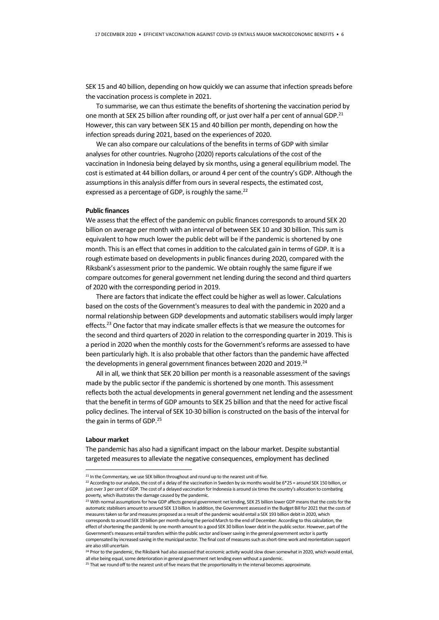SEK 15 and 40 billion, depending on how quickly we can assume that infection spreads before the vaccination process is complete in 2021.

To summarise, we can thus estimate the benefits of shortening the vaccination period by one month at SEK 25 billion after rounding off, or just over half a per cent of annual GDP.<sup>21</sup> However, this can vary between SEK 15 and 40 billion per month, depending on how the infection spreads during 2021, based on the experiences of 2020.

We can also compare our calculations of the benefits in terms of GDP with similar analyses for other countries. Nugroho (2020) reports calculations of the cost of the vaccination in Indonesia being delayed by six months, using a general equilibrium model. The cost is estimated at 44 billion dollars, or around 4 per cent of the country's GDP. Although the assumptions in this analysis differ from ours in several respects, the estimated cost, expressed as a percentage of GDP, is roughly the same.<sup>22</sup>

#### **Public finances**

We assess that the effect of the pandemic on public finances corresponds to around SEK 20 billion on average per month with an interval of between SEK 10 and 30 billion. This sum is equivalent to how much lower the public debt will be if the pandemic is shortened by one month. This is an effect that comes in addition to the calculated gain in terms of GDP. It is a rough estimate based on developments in public finances during 2020, compared with the Riksbank's assessment prior to the pandemic. We obtain roughly the same figure if we compare outcomes for general government net lending during the second and third quarters of 2020 with the corresponding period in 2019.

There are factors that indicate the effect could be higher as well aslower. Calculations based on the costs of the Government's measures to deal with the pandemic in 2020 and a normal relationship between GDP developments and automatic stabilisers would imply larger effects.<sup>23</sup> One factor that may indicate smaller effects is that we measure the outcomes for the second and third quarters of 2020 in relation to the corresponding quarter in 2019. This is a period in 2020 when the monthly costs for the Government's reforms are assessed to have been particularly high. It is also probable that other factors than the pandemic have affected the developments in general government finances between 2020 and 2019.<sup>24</sup>

All in all, we think that SEK 20 billion per month is a reasonable assessment of the savings made by the public sector if the pandemic is shortened by one month. This assessment reflects both the actual developments in general government net lending and the assessment that the benefit in terms of GDP amounts to SEK 25 billion and that the need for active fiscal policy declines. The interval of SEK 10-30 billion is constructed on the basis of the interval for the gain in terms of GDP.<sup>25</sup>

#### **Labour market**

**-**

The pandemic has also had a significant impact on the labour market. Despite substantial targeted measures to alleviate the negative consequences, employment has declined

 $21$  In the Commentary, we use SEK billion throughout and round up to the nearest unit of five.

<sup>&</sup>lt;sup>22</sup> According to our analysis, the cost of a delay of the vaccination in Sweden by six months would be  $6*25$  = around SEK 150 billion, or just over 3 per cent of GDP. The cost of a delayed vaccination for Indonesia is around six times the country's allocation to combating poverty, which illustrates the damage caused by the pandemic.

<sup>&</sup>lt;sup>23</sup> With normal assumptions for how GDP affects general government net lending, SEK 25 billion lower GDP means that the costs for the automatic stabilisers amount to around SEK 13 billion. In addition, the Government assessed in the Budget Bill for 2021 that the costs of measures taken so far and measures proposed as a result of the pandemic would entail a SEK 193 billion debit in 2020, which corresponds to around SEK 19 billion per month during the period March to the end of December. According to this calculation, the effect of shortening the pandemic by one month amount to a good SEK 30 billion lower debt in the public sector. However, part of the Government's measures entail transfers within the public sector and lower saving in the general government sector is partly compensated by increased saving in the municipal sector. The final cost of measures such as short-time work and reorientation support are also still uncertain.

<sup>&</sup>lt;sup>24</sup> Prior to the pandemic, the Riksbank had also assessed that economic activity would slow down somewhat in 2020, which would entail, all else being equal, some deterioration in general government net lending even without a pandemic.

<sup>&</sup>lt;sup>25</sup> That we round off to the nearest unit of five means that the proportionality in the interval becomes approximate.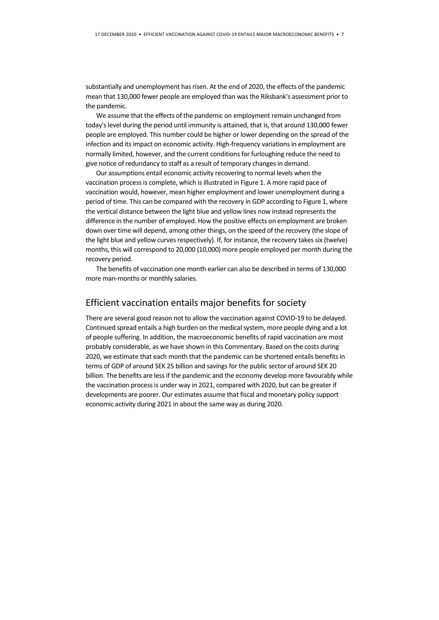substantially and unemployment has risen. At the end of 2020, the effects of the pandemic mean that 130,000 fewer people are employed than was the Riksbank's assessment prior to the pandemic.

We assume that the effects of the pandemic on employment remain unchanged from today's level during the period until immunity is attained, that is, that around 130,000 fewer people are employed. This number could be higher or lower depending on the spread of the infection and its impact on economic activity. High-frequency variations in employment are normally limited, however, and the current conditions for furloughing reduce the need to give notice of redundancy to staff as a result of temporary changes in demand.

Our assumptions entail economic activity recovering to normal levels when the vaccination process is complete, which is illustrated in Figure 1. A more rapid pace of vaccination would, however, mean higher employment and lower unemployment during a period of time. This can be compared with the recovery in GDP according to Figure 1, where the vertical distance between the light blue and yellow lines now instead represents the difference in the number of employed. How the positive effects on employment are broken down over time will depend, among other things, on the speed of the recovery (the slope of the light blue and yellow curves respectively). If, for instance, the recovery takes six (twelve) months, this will correspond to 20,000 (10,000) more people employed per month during the recovery period.

The benefits of vaccination one month earlier can also be described in terms of 130,000 more man-months or monthly salaries.

#### Efficient vaccination entails major benefits for society

There are several good reason not to allow the vaccination against COVID-19 to be delayed. Continued spread entails a high burden on the medical system, more people dying and a lot of people suffering. In addition, the macroeconomic benefits of rapid vaccination are most probably considerable, as we have shown in this Commentary. Based on the costs during 2020, we estimate that each month that the pandemic can be shortened entails benefits in terms of GDP of around SEK 25 billion and savings for the public sector of around SEK 20 billion. The benefits are less if the pandemic and the economy develop more favourably while the vaccination process is under way in 2021, compared with 2020, but can be greater if developments are poorer. Our estimates assume that fiscal and monetary policy support economic activity during 2021 in about the same way as during 2020.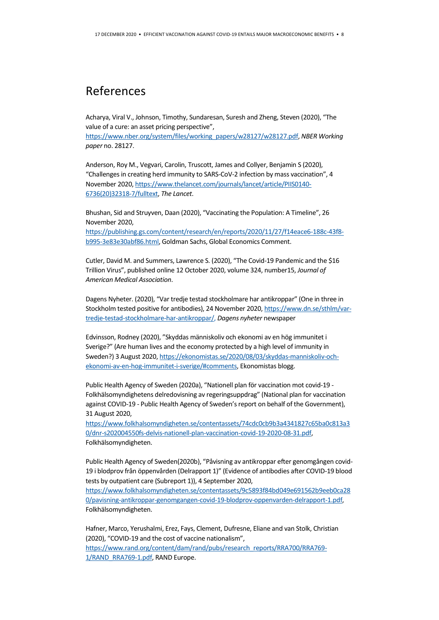# References

Acharya, Viral V., Johnson, Timothy, Sundaresan, Suresh and Zheng, Steven (2020), "The value of a cure: an asset pricing perspective",

[https://www.nber.org/system/files/working\\_papers/w28127/w28127.pdf,](https://www.nber.org/system/files/working_papers/w28127/w28127.pdf) *NBER Working paper* no. 28127.

Anderson, Roy M., Vegvari, Carolin, Truscott, James and Collyer, Benjamin S (2020), "Challenges in creating herd immunity to SARS-CoV-2 infection by mass vaccination", 4 November 2020[, https://www.thelancet.com/journals/lancet/article/PIIS0140-](https://www.thelancet.com/journals/lancet/article/PIIS0140-6736(20)32318-7/fulltext) [6736\(20\)32318-7/fulltext,](https://www.thelancet.com/journals/lancet/article/PIIS0140-6736(20)32318-7/fulltext) *The Lancet*.

Bhushan, Sid and Struyven, Daan (2020), "Vaccinating the Population: A Timeline", 26 November 2020,

[https://publishing.gs.com/content/research/en/reports/2020/11/27/f14eace6-188c-43f8](https://publishing.gs.com/content/research/en/reports/2020/11/27/f14eace6-188c-43f8-b995-3e83e30abf86.html) [b995-3e83e30abf86.html,](https://publishing.gs.com/content/research/en/reports/2020/11/27/f14eace6-188c-43f8-b995-3e83e30abf86.html) Goldman Sachs, Global Economics Comment.

Cutler, David M. and Summers, Lawrence S. (2020), "The Covid-19 Pandemic and the \$16 Trillion Virus", published online 12 October 2020, volume 324, number15, *Journal of American Medical Association*.

Dagens Nyheter. (2020), "Var tredje testad stockholmare har antikroppar" (One in three in Stockholm tested positive for antibodies), 24 November 2020[, https://www.dn.se/sthlm/var](https://www.dn.se/sthlm/var-tredje-testad-stockholmare-har-antikroppar/)[tredje-testad-stockholmare-har-antikroppar/,](https://www.dn.se/sthlm/var-tredje-testad-stockholmare-har-antikroppar/) *Dagens nyheter* newspaper

Edvinsson, Rodney (2020), "Skyddas människoliv och ekonomi av en hög immunitet i Sverige?" (Are human lives and the economy protected by a high level of immunity in Sweden?) 3 August 2020[, https://ekonomistas.se/2020/08/03/skyddas-manniskoliv-och](https://ekonomistas.se/2020/08/03/skyddas-manniskoliv-och-ekonomi-av-en-hog-immunitet-i-sverige/#comments)[ekonomi-av-en-hog-immunitet-i-sverige/#comments,](https://ekonomistas.se/2020/08/03/skyddas-manniskoliv-och-ekonomi-av-en-hog-immunitet-i-sverige/#comments) Ekonomistas blogg.

Public Health Agency of Sweden (2020a), "Nationell plan för vaccination mot covid-19 - Folkhälsomyndighetens delredovisning av regeringsuppdrag" (National plan for vaccination against COVID-19 - Public Health Agency of Sweden's report on behalf of the Government), 31 August 2020,

[https://www.folkhalsomyndigheten.se/contentassets/74cdc0cb9b3a4341827c65ba0c813a3](https://www.folkhalsomyndigheten.se/contentassets/74cdc0cb9b3a4341827c65ba0c813a30/dnr-s202004550fs-delvis-nationell-plan-vaccination-covid-19-2020-08-31.pdf) [0/dnr-s202004550fs-delvis-nationell-plan-vaccination-covid-19-2020-08-31.pdf,](https://www.folkhalsomyndigheten.se/contentassets/74cdc0cb9b3a4341827c65ba0c813a30/dnr-s202004550fs-delvis-nationell-plan-vaccination-covid-19-2020-08-31.pdf)  Folkhälsomyndigheten.

Public Health Agency of Sweden(2020b), "Påvisning av antikroppar efter genomgången covid-19 i blodprov från öppenvården (Delrapport 1)" (Evidence of antibodies after COVID-19 blood tests by outpatient care (Subreport 1)), 4 September 2020,

[https://www.folkhalsomyndigheten.se/contentassets/9c5893f84bd049e691562b9eeb0ca28](https://www.folkhalsomyndigheten.se/contentassets/9c5893f84bd049e691562b9eeb0ca280/pavisning-antikroppar-genomgangen-covid-19-blodprov-oppenvarden-delrapport-1.pdf) [0/pavisning-antikroppar-genomgangen-covid-19-blodprov-oppenvarden-delrapport-1.pdf,](https://www.folkhalsomyndigheten.se/contentassets/9c5893f84bd049e691562b9eeb0ca280/pavisning-antikroppar-genomgangen-covid-19-blodprov-oppenvarden-delrapport-1.pdf)  Folkhälsomyndigheten.

Hafner, Marco, Yerushalmi, Erez, Fays, Clement, Dufresne, Eliane and van Stolk, Christian (2020), "COVID-19 and the cost of vaccine nationalism",

[https://www.rand.org/content/dam/rand/pubs/research\\_reports/RRA700/RRA769-](https://www.rand.org/content/dam/rand/pubs/research_reports/RRA700/RRA769-1/RAND_RRA769-1.pdf) [1/RAND\\_RRA769-1.pdf,](https://www.rand.org/content/dam/rand/pubs/research_reports/RRA700/RRA769-1/RAND_RRA769-1.pdf) RAND Europe.